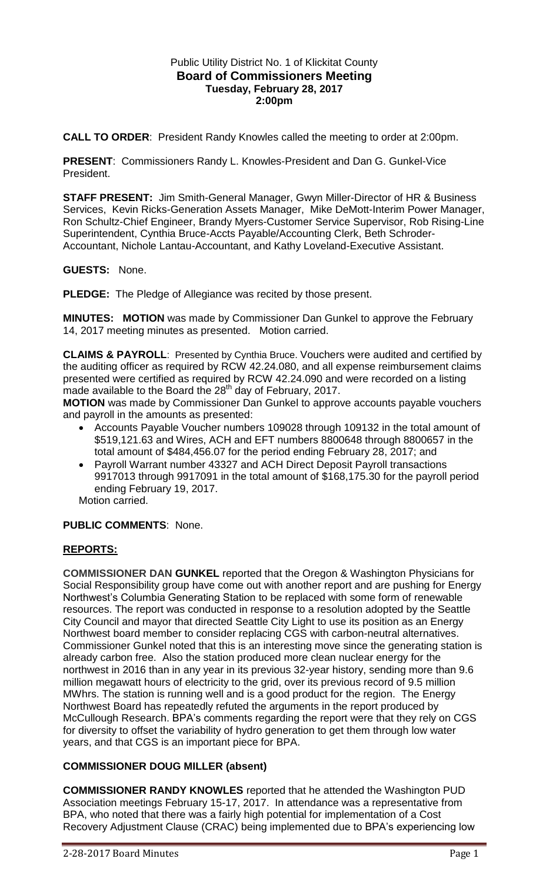## Public Utility District No. 1 of Klickitat County **Board of Commissioners Meeting Tuesday, February 28, 2017 2:00pm**

**CALL TO ORDER**: President Randy Knowles called the meeting to order at 2:00pm.

**PRESENT**: Commissioners Randy L. Knowles-President and Dan G. Gunkel-Vice President.

**STAFF PRESENT:** Jim Smith-General Manager, Gwyn Miller-Director of HR & Business Services, Kevin Ricks-Generation Assets Manager, Mike DeMott-Interim Power Manager, Ron Schultz-Chief Engineer, Brandy Myers-Customer Service Supervisor, Rob Rising-Line Superintendent, Cynthia Bruce-Accts Payable/Accounting Clerk, Beth Schroder-Accountant, Nichole Lantau-Accountant, and Kathy Loveland-Executive Assistant.

**GUESTS:** None.

**PLEDGE:** The Pledge of Allegiance was recited by those present.

**MINUTES: MOTION** was made by Commissioner Dan Gunkel to approve the February 14, 2017 meeting minutes as presented. Motion carried.

**CLAIMS & PAYROLL**: Presented by Cynthia Bruce. Vouchers were audited and certified by the auditing officer as required by RCW 42.24.080, and all expense reimbursement claims presented were certified as required by RCW 42.24.090 and were recorded on a listing made available to the Board the 28<sup>th</sup> day of February, 2017.

**MOTION** was made by Commissioner Dan Gunkel to approve accounts payable vouchers and payroll in the amounts as presented:

- Accounts Payable Voucher numbers 109028 through 109132 in the total amount of \$519,121.63 and Wires, ACH and EFT numbers 8800648 through 8800657 in the total amount of \$484,456.07 for the period ending February 28, 2017; and
- Payroll Warrant number 43327 and ACH Direct Deposit Payroll transactions 9917013 through 9917091 in the total amount of \$168,175.30 for the payroll period ending February 19, 2017.

Motion carried.

# **PUBLIC COMMENTS**: None.

# **REPORTS:**

**COMMISSIONER DAN GUNKEL** reported that the Oregon & Washington Physicians for Social Responsibility group have come out with another report and are pushing for Energy Northwest's Columbia Generating Station to be replaced with some form of renewable resources. The report was conducted in response to a resolution adopted by the Seattle City Council and mayor that directed Seattle City Light to use its position as an Energy Northwest board member to consider replacing CGS with carbon-neutral alternatives. Commissioner Gunkel noted that this is an interesting move since the generating station is already carbon free. Also the station produced more clean nuclear energy for the northwest in 2016 than in any year in its previous 32-year history, sending more than 9.6 million megawatt hours of electricity to the grid, over its previous record of 9.5 million MWhrs. The station is running well and is a good product for the region. The Energy Northwest Board has repeatedly refuted the arguments in the report produced by McCullough Research. BPA's comments regarding the report were that they rely on CGS for diversity to offset the variability of hydro generation to get them through low water years, and that CGS is an important piece for BPA.

# **COMMISSIONER DOUG MILLER (absent)**

**COMMISSIONER RANDY KNOWLES** reported that he attended the Washington PUD Association meetings February 15-17, 2017. In attendance was a representative from BPA, who noted that there was a fairly high potential for implementation of a Cost Recovery Adjustment Clause (CRAC) being implemented due to BPA's experiencing low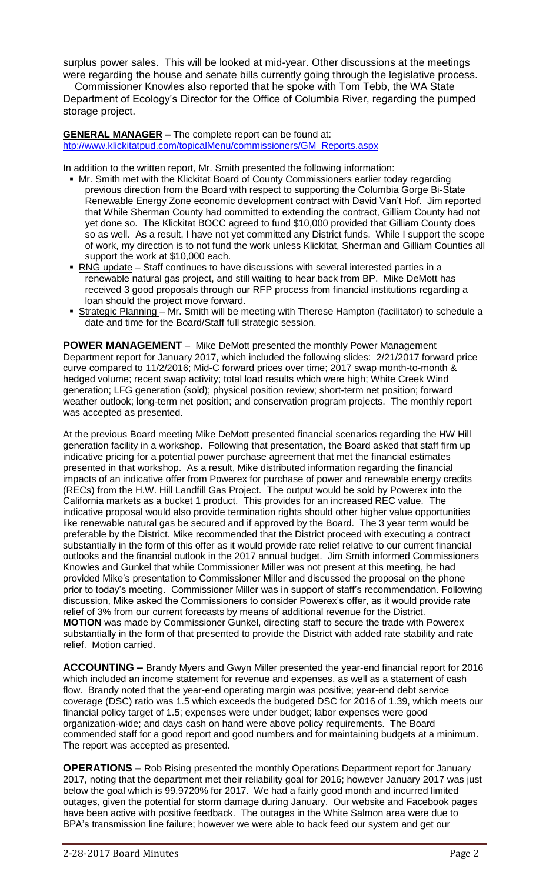surplus power sales. This will be looked at mid-year. Other discussions at the meetings were regarding the house and senate bills currently going through the legislative process.

 Commissioner Knowles also reported that he spoke with Tom Tebb, the WA State Department of Ecology's Director for the Office of Columbia River, regarding the pumped storage project.

**GENERAL MANAGER –** The complete report can be found at: [htp://www.klickitatpud.com/topicalMenu/commissioners/GM\\_Reports.aspx](http://www.klickitatpud.com/topicalMenu/commissioners/GM_Reports.aspx)

In addition to the written report, Mr. Smith presented the following information:

- Mr. Smith met with the Klickitat Board of County Commissioners earlier today regarding previous direction from the Board with respect to supporting the Columbia Gorge Bi-State Renewable Energy Zone economic development contract with David Van't Hof. Jim reported that While Sherman County had committed to extending the contract, Gilliam County had not yet done so. The Klickitat BOCC agreed to fund \$10,000 provided that Gilliam County does so as well. As a result, I have not yet committed any District funds. While I support the scope of work, my direction is to not fund the work unless Klickitat, Sherman and Gilliam Counties all support the work at \$10,000 each.
- RNG update Staff continues to have discussions with several interested parties in a renewable natural gas project, and still waiting to hear back from BP. Mike DeMott has received 3 good proposals through our RFP process from financial institutions regarding a loan should the project move forward.
- **Strategic Planning** Mr. Smith will be meeting with Therese Hampton (facilitator) to schedule a date and time for the Board/Staff full strategic session.

**POWER MANAGEMENT** – Mike DeMott presented the monthly Power Management Department report for January 2017, which included the following slides: 2/21/2017 forward price curve compared to 11/2/2016; Mid-C forward prices over time; 2017 swap month-to-month & hedged volume; recent swap activity; total load results which were high; White Creek Wind generation; LFG generation (sold); physical position review; short-term net position; forward weather outlook; long-term net position; and conservation program projects. The monthly report was accepted as presented.

At the previous Board meeting Mike DeMott presented financial scenarios regarding the HW Hill generation facility in a workshop. Following that presentation, the Board asked that staff firm up indicative pricing for a potential power purchase agreement that met the financial estimates presented in that workshop. As a result, Mike distributed information regarding the financial impacts of an indicative offer from Powerex for purchase of power and renewable energy credits (RECs) from the H.W. Hill Landfill Gas Project. The output would be sold by Powerex into the California markets as a bucket 1 product. This provides for an increased REC value. The indicative proposal would also provide termination rights should other higher value opportunities like renewable natural gas be secured and if approved by the Board. The 3 year term would be preferable by the District. Mike recommended that the District proceed with executing a contract substantially in the form of this offer as it would provide rate relief relative to our current financial outlooks and the financial outlook in the 2017 annual budget. Jim Smith informed Commissioners Knowles and Gunkel that while Commissioner Miller was not present at this meeting, he had provided Mike's presentation to Commissioner Miller and discussed the proposal on the phone prior to today's meeting. Commissioner Miller was in support of staff's recommendation. Following discussion, Mike asked the Commissioners to consider Powerex's offer, as it would provide rate relief of 3% from our current forecasts by means of additional revenue for the District. **MOTION** was made by Commissioner Gunkel, directing staff to secure the trade with Powerex substantially in the form of that presented to provide the District with added rate stability and rate relief. Motion carried.

**ACCOUNTING –** Brandy Myers and Gwyn Miller presented the year-end financial report for 2016 which included an income statement for revenue and expenses, as well as a statement of cash flow. Brandy noted that the year-end operating margin was positive; year-end debt service coverage (DSC) ratio was 1.5 which exceeds the budgeted DSC for 2016 of 1.39, which meets our financial policy target of 1.5; expenses were under budget; labor expenses were good organization-wide; and days cash on hand were above policy requirements. The Board commended staff for a good report and good numbers and for maintaining budgets at a minimum. The report was accepted as presented.

**OPERATIONS –** Rob Rising presented the monthly Operations Department report for January 2017, noting that the department met their reliability goal for 2016; however January 2017 was just below the goal which is 99.9720% for 2017. We had a fairly good month and incurred limited outages, given the potential for storm damage during January. Our website and Facebook pages have been active with positive feedback. The outages in the White Salmon area were due to BPA's transmission line failure; however we were able to back feed our system and get our